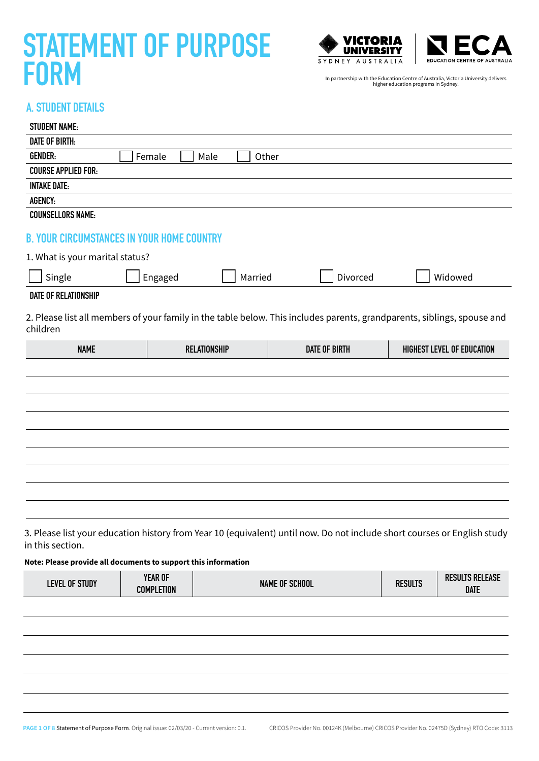



### A. STUDENT DETAILS

| <b>STUDENT NAME:</b>                              |                     |                                                                                                                          |                            |
|---------------------------------------------------|---------------------|--------------------------------------------------------------------------------------------------------------------------|----------------------------|
| <b>DATE OF BIRTH:</b>                             |                     |                                                                                                                          |                            |
| <b>GENDER:</b>                                    | Female<br>Male      | Other                                                                                                                    |                            |
| <b>COURSE APPLIED FOR:</b>                        |                     |                                                                                                                          |                            |
| <b>INTAKE DATE:</b>                               |                     |                                                                                                                          |                            |
| AGENCY:                                           |                     |                                                                                                                          |                            |
| <b>COUNSELLORS NAME:</b>                          |                     |                                                                                                                          |                            |
| <b>B. YOUR CIRCUMSTANCES IN YOUR HOME COUNTRY</b> |                     |                                                                                                                          |                            |
| 1. What is your marital status?                   |                     |                                                                                                                          |                            |
| Single                                            | Engaged<br>Married  | Divorced                                                                                                                 | Widowed                    |
| <b>DATE OF RELATIONSHIP</b>                       |                     |                                                                                                                          |                            |
| children                                          |                     | 2. Please list all members of your family in the table below. This includes parents, grandparents, siblings, spouse and  |                            |
|                                                   |                     |                                                                                                                          |                            |
| <b>NAME</b>                                       | <b>RELATIONSHIP</b> | <b>DATE OF BIRTH</b>                                                                                                     | HIGHEST LEVEL OF EDUCATION |
|                                                   |                     |                                                                                                                          |                            |
|                                                   |                     |                                                                                                                          |                            |
|                                                   |                     |                                                                                                                          |                            |
|                                                   |                     |                                                                                                                          |                            |
|                                                   |                     |                                                                                                                          |                            |
|                                                   |                     |                                                                                                                          |                            |
|                                                   |                     |                                                                                                                          |                            |
|                                                   |                     |                                                                                                                          |                            |
|                                                   |                     |                                                                                                                          |                            |
|                                                   |                     |                                                                                                                          |                            |
|                                                   |                     |                                                                                                                          |                            |
| in this section.                                  |                     | 3. Please list your education history from Year 10 (equivalent) until now. Do not include short courses or English study |                            |

| OF STUDY<br>level | <b>YEAR OF</b><br><b>COMPLETION</b> | <b>NAME OF SCHOOL</b> | <b>RESULTS</b> | <b>RESULTS RELEASE</b><br>DATE |
|-------------------|-------------------------------------|-----------------------|----------------|--------------------------------|
|                   |                                     |                       |                |                                |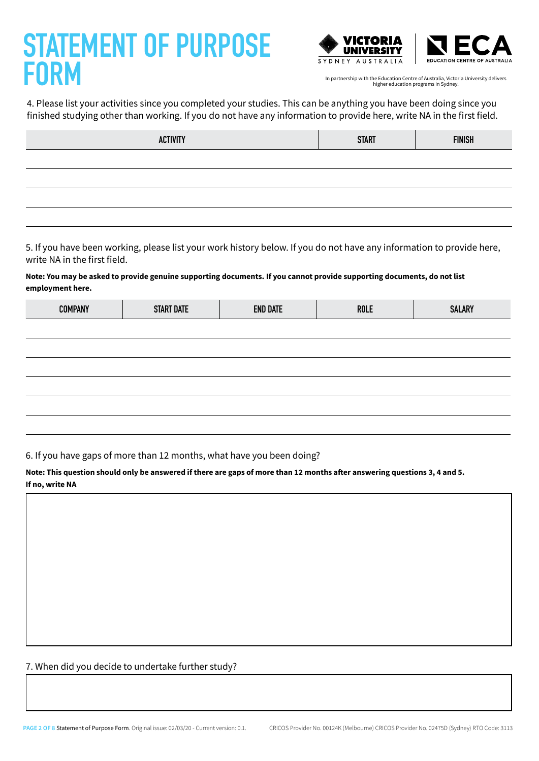



4. Please list your activities since you completed your studies. This can be anything you have been doing since you finished studying other than working. If you do not have any information to provide here, write NA in the first field.

| <b>ACTIVITY</b> | <b>START</b> | <b>FINISH</b> |
|-----------------|--------------|---------------|
|                 |              |               |
|                 |              |               |
|                 |              |               |
|                 |              |               |

5. If you have been working, please list your work history below. If you do not have any information to provide here, write NA in the first field.

**Note: You may be asked to provide genuine supporting documents. If you cannot provide supporting documents, do not list employment here.**

| <b>COMPANY</b> | <b>START DATE</b> | <b>END DATE</b> | ROLE | <b>SALARY</b> |
|----------------|-------------------|-----------------|------|---------------|
|                |                   |                 |      |               |
|                |                   |                 |      |               |
|                |                   |                 |      |               |
|                |                   |                 |      |               |
|                |                   |                 |      |               |
|                |                   |                 |      |               |

6. If you have gaps of more than 12 months, what have you been doing?

**Note: This question should only be answered if there are gaps of more than 12 months after answering questions 3, 4 and 5. If no, write NA**

7. When did you decide to undertake further study?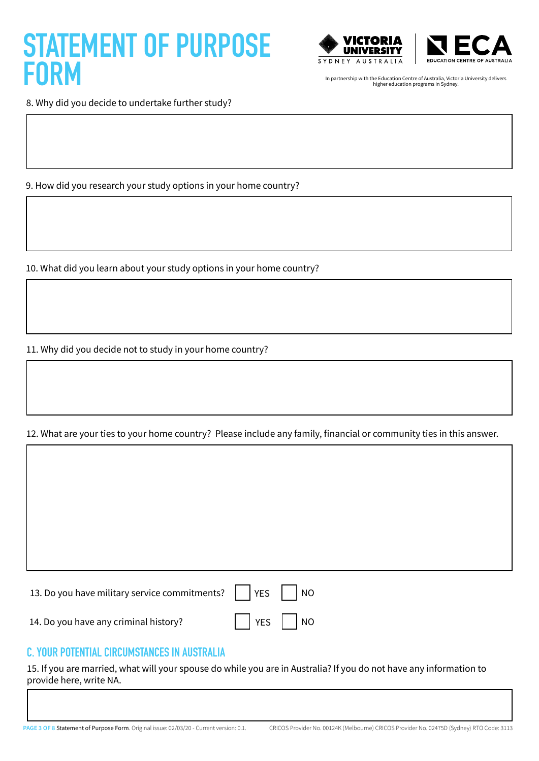



8. Why did you decide to undertake further study?

9. How did you research your study options in your home country?

10. What did you learn about your study options in your home country?

11. Why did you decide not to study in your home country?

12. What are your ties to your home country? Please include any family, financial or community ties in this answer.

13. Do you have military service commitments? YES NO 14. Do you have any criminal history?  $|$  | YES | | NO

### C. YOUR POTENTIAL CIRCUMSTANCES IN AUSTRALIA

15. If you are married, what will your spouse do while you are in Australia? If you do not have any information to provide here, write NA.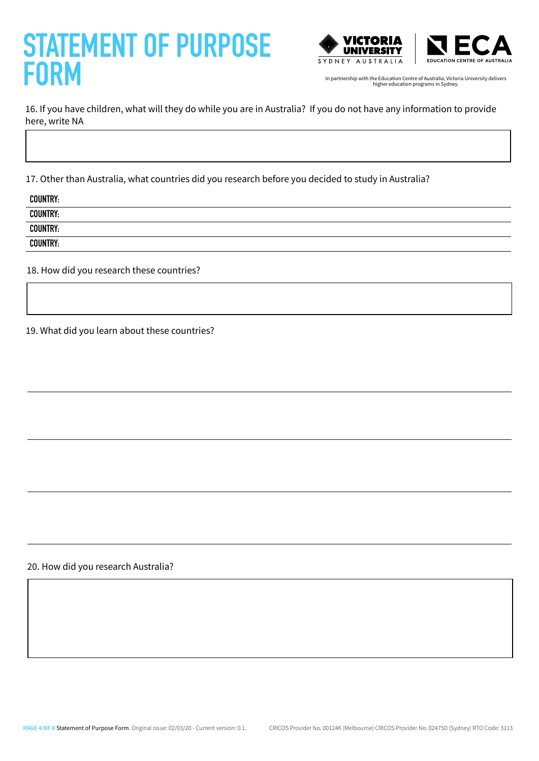



16. If you have children, what will they do while you are in Australia? If you do not have any information to provide here, write NA

17. Other than Australia, what countries did you research before you decided to study in Australia?

| <b>COUNTRY:</b><br><b>COUNTRY:</b> | <b>COUNTRY:</b> |  |  |
|------------------------------------|-----------------|--|--|
|                                    |                 |  |  |
|                                    |                 |  |  |
|                                    | <b>COUNTRY:</b> |  |  |

18. How did you research these countries?

19. What did you learn about these countries?

20. How did you research Australia?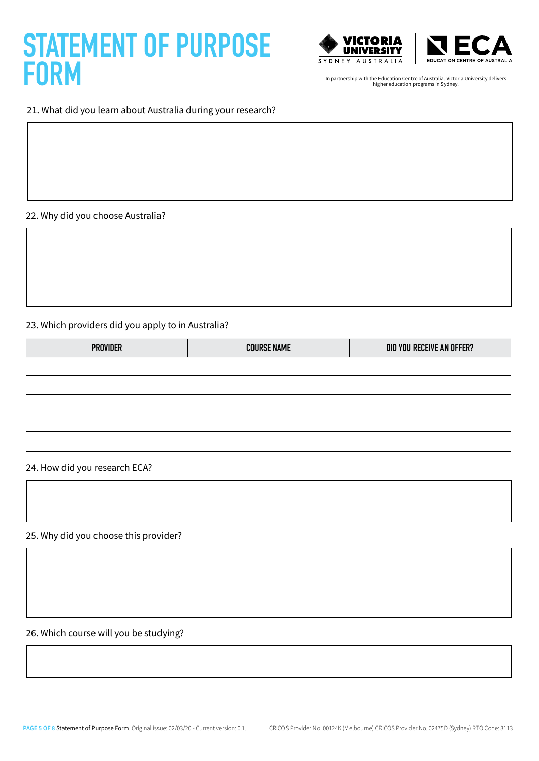



#### 21. What did you learn about Australia during your research?

22. Why did you choose Australia?

#### 23. Which providers did you apply to in Australia?

| <b>PROVIDER</b> | <b>COURSE NAME</b> | DID YOU RECEIVE AN OFFER? |
|-----------------|--------------------|---------------------------|
|                 |                    |                           |
|                 |                    |                           |
|                 |                    |                           |

#### 24. How did you research ECA?

25. Why did you choose this provider?

26. Which course will you be studying?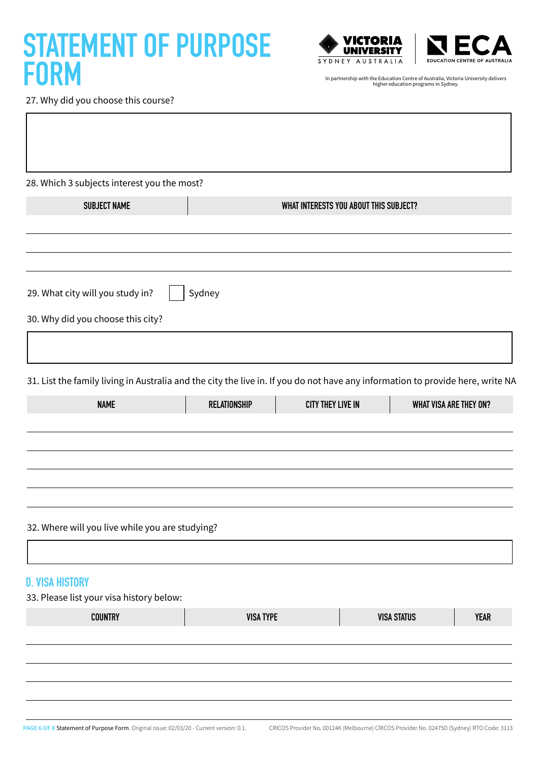



27. Why did you choose this course?

| 28. Which 3 subjects interest you the most?                                                                                    |                     |                                        |                    |                               |             |
|--------------------------------------------------------------------------------------------------------------------------------|---------------------|----------------------------------------|--------------------|-------------------------------|-------------|
| <b>SUBJECT NAME</b>                                                                                                            |                     | WHAT INTERESTS YOU ABOUT THIS SUBJECT? |                    |                               |             |
|                                                                                                                                |                     |                                        |                    |                               |             |
| 29. What city will you study in?                                                                                               | Sydney              |                                        |                    |                               |             |
| 30. Why did you choose this city?                                                                                              |                     |                                        |                    |                               |             |
|                                                                                                                                |                     |                                        |                    |                               |             |
| 31. List the family living in Australia and the city the live in. If you do not have any information to provide here, write NA |                     |                                        |                    |                               |             |
| <b>NAME</b>                                                                                                                    | <b>RELATIONSHIP</b> | <b>CITY THEY LIVE IN</b>               |                    | <b>WHAT VISA ARE THEY ON?</b> |             |
|                                                                                                                                |                     |                                        |                    |                               |             |
| 32. Where will you live while you are studying?                                                                                |                     |                                        |                    |                               |             |
| <b>D. VISA HISTORY</b>                                                                                                         |                     |                                        |                    |                               |             |
| 33. Please list your visa history below:                                                                                       |                     |                                        |                    |                               |             |
| <b>COUNTRY</b>                                                                                                                 | <b>VISA TYPE</b>    |                                        | <b>VISA STATUS</b> |                               | <b>YEAR</b> |
|                                                                                                                                |                     |                                        |                    |                               |             |
|                                                                                                                                |                     |                                        |                    |                               |             |
|                                                                                                                                |                     |                                        |                    |                               |             |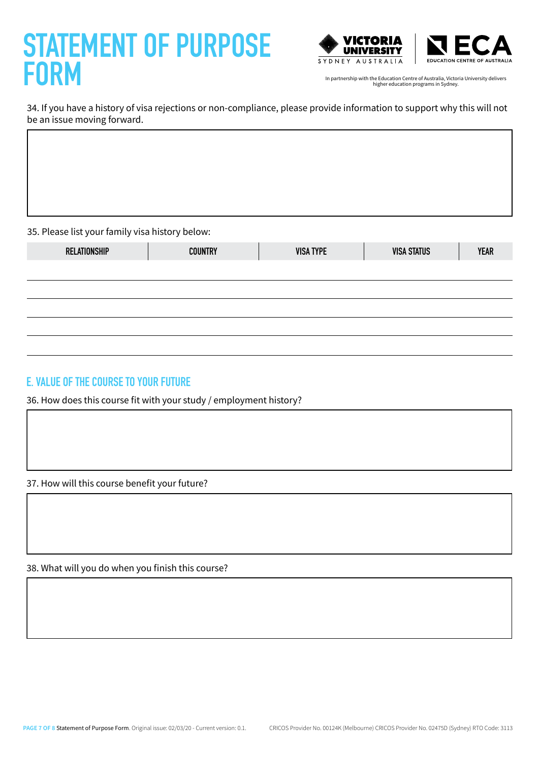



34. If you have a history of visa rejections or non-compliance, please provide information to support why this will not be an issue moving forward.

35. Please list your family visa history below:

| RELATIONSHIP | <b>COUNTRY</b> | <b>VISA TYPE</b> | <b>VISA STATUS</b> | <b>YEAR</b> |
|--------------|----------------|------------------|--------------------|-------------|
|              |                |                  |                    |             |
|              |                |                  |                    |             |
|              |                |                  |                    |             |
|              |                |                  |                    |             |
|              |                |                  |                    |             |

### E. VALUE OF THE COURSE TO YOUR FUTURE

36. How does this course fit with your study / employment history?

37. How will this course benefit your future?

38. What will you do when you finish this course?